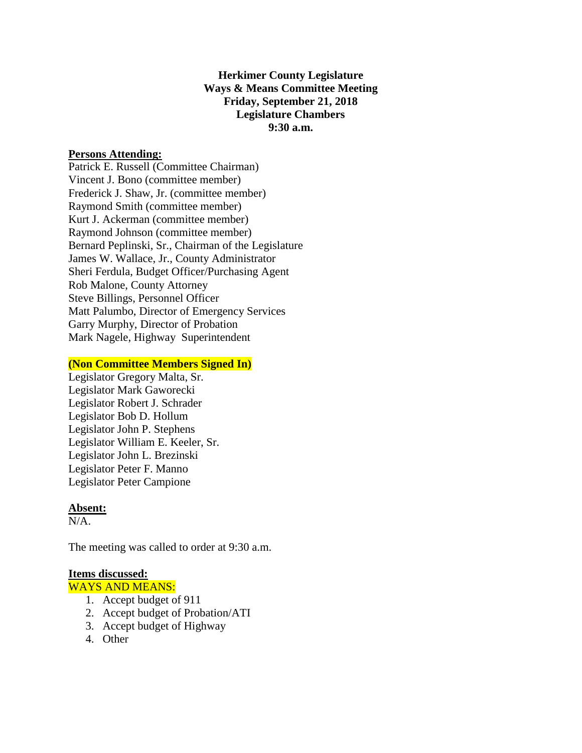**Herkimer County Legislature Ways & Means Committee Meeting Friday, September 21, 2018 Legislature Chambers 9:30 a.m.**

## **Persons Attending:**

Patrick E. Russell (Committee Chairman) Vincent J. Bono (committee member) Frederick J. Shaw, Jr. (committee member) Raymond Smith (committee member) Kurt J. Ackerman (committee member) Raymond Johnson (committee member) Bernard Peplinski, Sr., Chairman of the Legislature James W. Wallace, Jr., County Administrator Sheri Ferdula, Budget Officer/Purchasing Agent Rob Malone, County Attorney Steve Billings, Personnel Officer Matt Palumbo, Director of Emergency Services Garry Murphy, Director of Probation Mark Nagele, Highway Superintendent

### **(Non Committee Members Signed In)**

Legislator Gregory Malta, Sr. Legislator Mark Gaworecki Legislator Robert J. Schrader Legislator Bob D. Hollum Legislator John P. Stephens Legislator William E. Keeler, Sr. Legislator John L. Brezinski Legislator Peter F. Manno Legislator Peter Campione

### **Absent:**

 $N/A$ .

The meeting was called to order at 9:30 a.m.

### **Items discussed:**

WAYS AND MEANS:

- 1. Accept budget of 911
- 2. Accept budget of Probation/ATI
- 3. Accept budget of Highway
- 4. Other